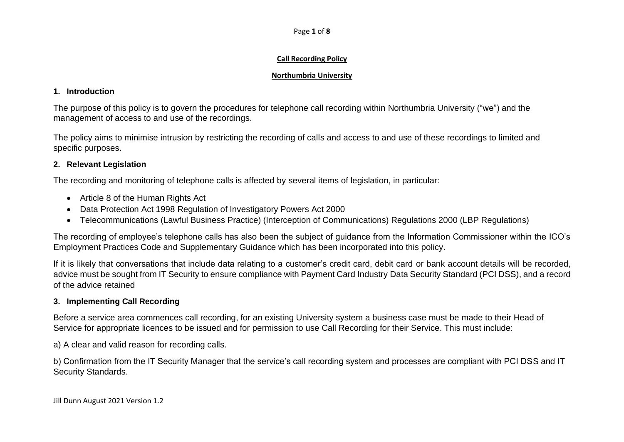Page **1** of **8**

### **Call Recording Policy**

### **Northumbria University**

## **1. Introduction**

The purpose of this policy is to govern the procedures for telephone call recording within Northumbria University ("we") and the management of access to and use of the recordings.

The policy aims to minimise intrusion by restricting the recording of calls and access to and use of these recordings to limited and specific purposes.

# **2. Relevant Legislation**

The recording and monitoring of telephone calls is affected by several items of legislation, in particular:

- Article 8 of the Human Rights Act
- Data Protection Act 1998 Regulation of Investigatory Powers Act 2000
- Telecommunications (Lawful Business Practice) (Interception of Communications) Regulations 2000 (LBP Regulations)

The recording of employee's telephone calls has also been the subject of guidance from the Information Commissioner within the ICO's Employment Practices Code and Supplementary Guidance which has been incorporated into this policy.

If it is likely that conversations that include data relating to a customer's credit card, debit card or bank account details will be recorded, advice must be sought from IT Security to ensure compliance with Payment Card Industry Data Security Standard (PCI DSS), and a record of the advice retained

# **3. Implementing Call Recording**

Before a service area commences call recording, for an existing University system a business case must be made to their Head of Service for appropriate licences to be issued and for permission to use Call Recording for their Service. This must include:

a) A clear and valid reason for recording calls.

b) Confirmation from the IT Security Manager that the service's call recording system and processes are compliant with PCI DSS and IT Security Standards.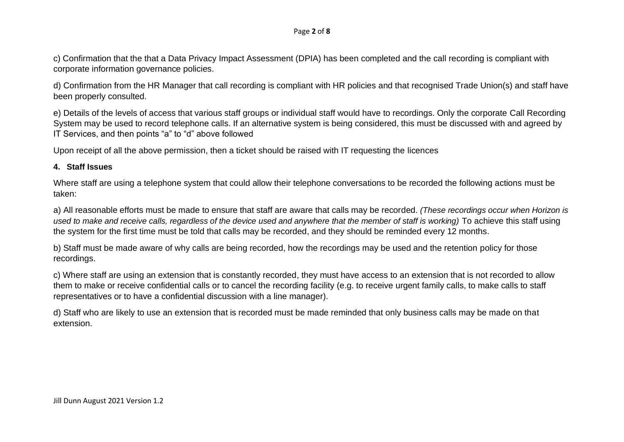#### Page **2** of **8**

c) Confirmation that the that a Data Privacy Impact Assessment (DPIA) has been completed and the call recording is compliant with corporate information governance policies.

d) Confirmation from the HR Manager that call recording is compliant with HR policies and that recognised Trade Union(s) and staff have been properly consulted.

e) Details of the levels of access that various staff groups or individual staff would have to recordings. Only the corporate Call Recording System may be used to record telephone calls. If an alternative system is being considered, this must be discussed with and agreed by IT Services, and then points "a" to "d" above followed

Upon receipt of all the above permission, then a ticket should be raised with IT requesting the licences

#### **4. Staff Issues**

Where staff are using a telephone system that could allow their telephone conversations to be recorded the following actions must be taken:

a) All reasonable efforts must be made to ensure that staff are aware that calls may be recorded. *(These recordings occur when Horizon is used to make and receive calls, regardless of the device used and anywhere that the member of staff is working)* To achieve this staff using the system for the first time must be told that calls may be recorded, and they should be reminded every 12 months.

b) Staff must be made aware of why calls are being recorded, how the recordings may be used and the retention policy for those recordings.

c) Where staff are using an extension that is constantly recorded, they must have access to an extension that is not recorded to allow them to make or receive confidential calls or to cancel the recording facility (e.g. to receive urgent family calls, to make calls to staff representatives or to have a confidential discussion with a line manager).

d) Staff who are likely to use an extension that is recorded must be made reminded that only business calls may be made on that extension.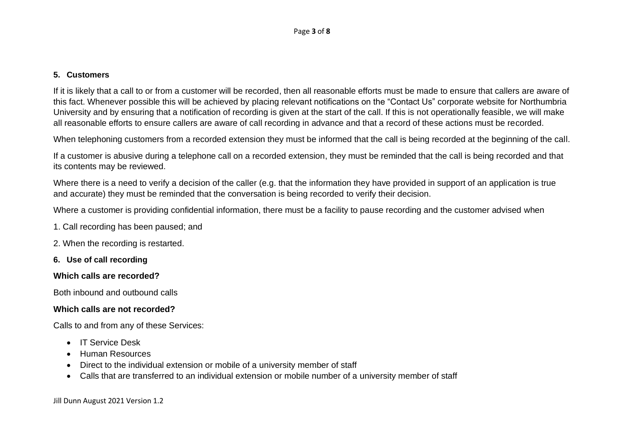#### **5. Customers**

If it is likely that a call to or from a customer will be recorded, then all reasonable efforts must be made to ensure that callers are aware of this fact. Whenever possible this will be achieved by placing relevant notifications on the "Contact Us" corporate website for Northumbria University and by ensuring that a notification of recording is given at the start of the call. If this is not operationally feasible, we will make all reasonable efforts to ensure callers are aware of call recording in advance and that a record of these actions must be recorded.

When telephoning customers from a recorded extension they must be informed that the call is being recorded at the beginning of the call.

If a customer is abusive during a telephone call on a recorded extension, they must be reminded that the call is being recorded and that its contents may be reviewed.

Where there is a need to verify a decision of the caller (e.g. that the information they have provided in support of an application is true and accurate) they must be reminded that the conversation is being recorded to verify their decision.

Where a customer is providing confidential information, there must be a facility to pause recording and the customer advised when

- 1. Call recording has been paused; and
- 2. When the recording is restarted.
- **6. Use of call recording**

### **Which calls are recorded?**

Both inbound and outbound calls

### **Which calls are not recorded?**

Calls to and from any of these Services:

- IT Service Desk
- Human Resources
- Direct to the individual extension or mobile of a university member of staff
- Calls that are transferred to an individual extension or mobile number of a university member of staff

Jill Dunn August 2021 Version 1.2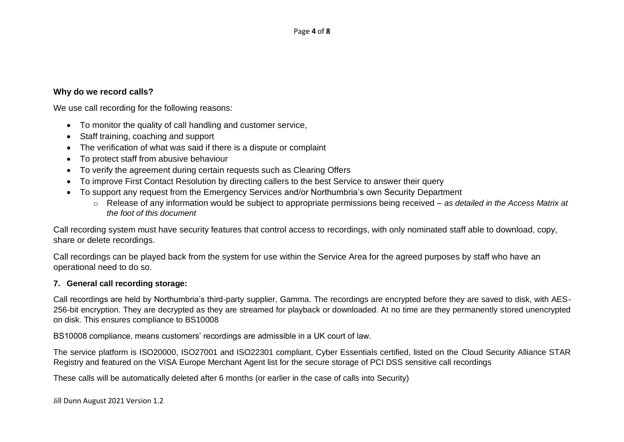### **Why do we record calls?**

We use call recording for the following reasons:

- To monitor the quality of call handling and customer service,
- Staff training, coaching and support
- The verification of what was said if there is a dispute or complaint
- To protect staff from abusive behaviour
- To verify the agreement during certain requests such as Clearing Offers
- To improve First Contact Resolution by directing callers to the best Service to answer their query
- To support any request from the Emergency Services and/or Northumbria's own Security Department
	- o Release of any information would be subject to appropriate permissions being received *as detailed in the Access Matrix at the foot of this document*

Call recording system must have security features that control access to recordings, with only nominated staff able to download, copy, share or delete recordings.

Call recordings can be played back from the system for use within the Service Area for the agreed purposes by staff who have an operational need to do so.

#### **7. General call recording storage:**

Call recordings are held by Northumbria's third-party supplier, Gamma. The recordings are encrypted before they are saved to disk, with AES-256-bit encryption. They are decrypted as they are streamed for playback or downloaded. At no time are they permanently stored unencrypted on disk. This ensures compliance to BS10008

BS10008 compliance, means customers' recordings are admissible in a UK court of law.

The service platform is ISO20000, ISO27001 and ISO22301 compliant, Cyber Essentials certified, listed on the Cloud Security Alliance STAR Registry and featured on the VISA Europe Merchant Agent list for the secure storage of PCI DSS sensitive call recordings

These calls will be automatically deleted after 6 months (or earlier in the case of calls into Security)

Jill Dunn August 2021 Version 1.2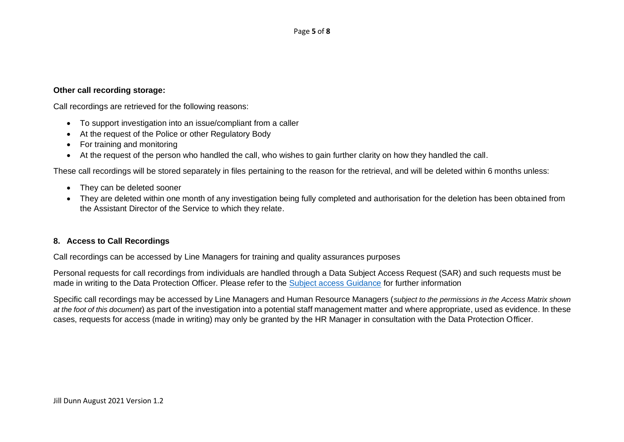#### **Other call recording storage:**

Call recordings are retrieved for the following reasons:

- To support investigation into an issue/compliant from a caller
- At the request of the Police or other Regulatory Body
- For training and monitoring
- At the request of the person who handled the call, who wishes to gain further clarity on how they handled the call.

These call recordings will be stored separately in files pertaining to the reason for the retrieval, and will be deleted within 6 months unless:

- They can be deleted sooner
- They are deleted within one month of any investigation being fully completed and authorisation for the deletion has been obtained from the Assistant Director of the Service to which they relate.

#### **8. Access to Call Recordings**

Call recordings can be accessed by Line Managers for training and quality assurances purposes

Personal requests for call recordings from individuals are handled through a Data Subject Access Request (SAR) and such requests must be made in writing to the Data Protection Officer. Please refer to the [Subject access Guidance](https://www.northumbria.ac.uk/about-us/leadership-governance/vice-chancellors-office/legal-services-team/gdpr/gdpr---rights-of-the-individual/right-to-subject-access/) for further information

Specific call recordings may be accessed by Line Managers and Human Resource Managers (*subject to the permissions in the Access Matrix shown at the foot of this document*) as part of the investigation into a potential staff management matter and where appropriate, used as evidence. In these cases, requests for access (made in writing) may only be granted by the HR Manager in consultation with the Data Protection Officer.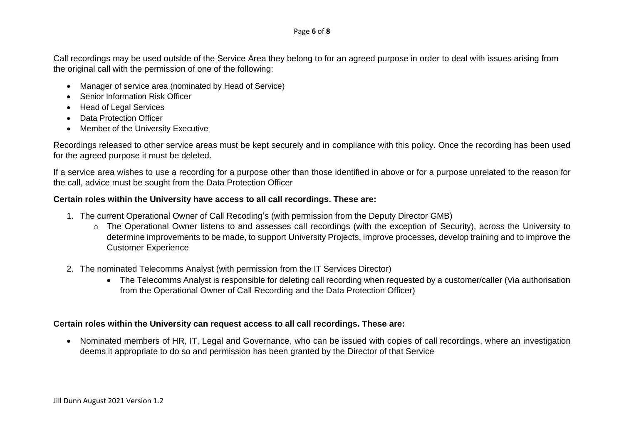#### Page **6** of **8**

Call recordings may be used outside of the Service Area they belong to for an agreed purpose in order to deal with issues arising from the original call with the permission of one of the following:

- Manager of service area (nominated by Head of Service)
- Senior Information Risk Officer
- Head of Legal Services
- Data Protection Officer
- Member of the University Executive

Recordings released to other service areas must be kept securely and in compliance with this policy. Once the recording has been used for the agreed purpose it must be deleted.

If a service area wishes to use a recording for a purpose other than those identified in above or for a purpose unrelated to the reason for the call, advice must be sought from the Data Protection Officer

## **Certain roles within the University have access to all call recordings. These are:**

- 1. The current Operational Owner of Call Recoding's (with permission from the Deputy Director GMB)
	- o The Operational Owner listens to and assesses call recordings (with the exception of Security), across the University to determine improvements to be made, to support University Projects, improve processes, develop training and to improve the Customer Experience
- 2. The nominated Telecomms Analyst (with permission from the IT Services Director)
	- The Telecomms Analyst is responsible for deleting call recording when requested by a customer/caller (Via authorisation from the Operational Owner of Call Recording and the Data Protection Officer)

## **Certain roles within the University can request access to all call recordings. These are:**

• Nominated members of HR, IT, Legal and Governance, who can be issued with copies of call recordings, where an investigation deems it appropriate to do so and permission has been granted by the Director of that Service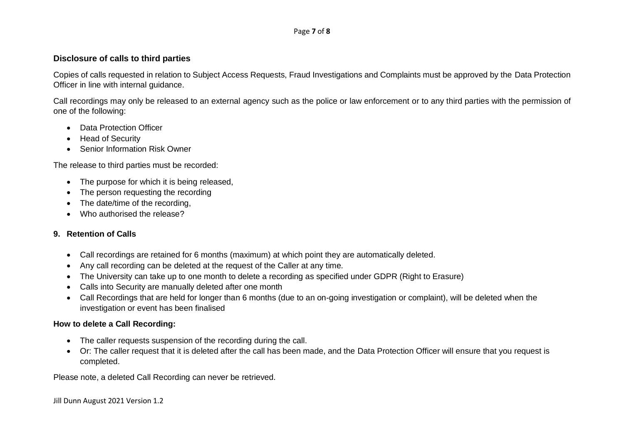#### Page **7** of **8**

### **Disclosure of calls to third parties**

Copies of calls requested in relation to Subject Access Requests, Fraud Investigations and Complaints must be approved by the Data Protection Officer in line with internal guidance.

Call recordings may only be released to an external agency such as the police or law enforcement or to any third parties with the permission of one of the following:

- Data Protection Officer
- Head of Security
- Senior Information Risk Owner

The release to third parties must be recorded:

- The purpose for which it is being released,
- The person requesting the recording
- The date/time of the recording.
- Who authorised the release?

#### **9. Retention of Calls**

- Call recordings are retained for 6 months (maximum) at which point they are automatically deleted.
- Any call recording can be deleted at the request of the Caller at any time.
- The University can take up to one month to delete a recording as specified under GDPR (Right to Erasure)
- Calls into Security are manually deleted after one month
- Call Recordings that are held for longer than 6 months (due to an on-going investigation or complaint), will be deleted when the investigation or event has been finalised

#### **How to delete a Call Recording:**

- The caller requests suspension of the recording during the call.
- Or: The caller request that it is deleted after the call has been made, and the Data Protection Officer will ensure that you request is completed.

Please note, a deleted Call Recording can never be retrieved.

Jill Dunn August 2021 Version 1.2